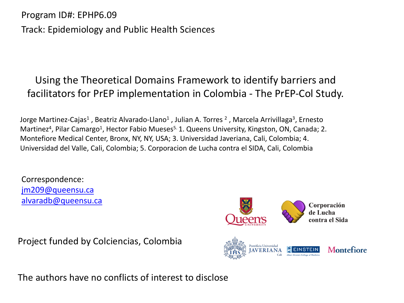Program ID#: EPHP6.09 Track: Epidemiology and Public Health Sciences

### Using the Theoretical Domains Framework to identify barriers and facilitators for PrEP implementation in Colombia - The PrEP-Col Study.

Jorge Martinez-Cajas<sup>1</sup>, Beatriz Alvarado-Llano<sup>1</sup>, Julian A. Torres <sup>2</sup>, Marcela Arrivillaga<sup>3</sup>, Ernesto Martinez<sup>4</sup>, Pilar Camargo<sup>1</sup>, Hector Fabio Mueses<sup>5.</sup> 1. Queens University, Kingston, ON, Canada; 2. Montefiore Medical Center, Bronx, NY, NY, USA; 3. Universidad Javeriana, Cali, Colombia; 4. Universidad del Valle, Cali, Colombia; 5. Corporacion de Lucha contra el SIDA, Cali, Colombia

Correspondence: jm209@queensu.ca alvaradb@queensu.ca

Corporación de Lucha contra el Sid

Project funded by Colciencias, Colombia



The authors have no conflicts of interest to disclose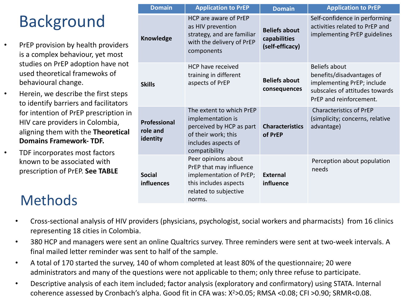# Background

- PrEP provision by health providers is a complex behaviour, yet most studies on PrEP adoption have not used theoretical framewoks of behavioural change.
- Herein, we describe the first steps to identify barriers and facilitators for intention of PrEP prescription in HIV care providers in Colombia, aligning them with the **Theoretical Domains Framework- TDF.**
- TDF incorporates most factors known to be associated with prescription of PrEP. **See TABLE**

# **Methods**

| <b>Domain</b>                               | <b>Application to PrEP</b>                                                                                                               | <b>Domain</b>                                           | <b>Application to PrEP</b>                                                                                                                   |
|---------------------------------------------|------------------------------------------------------------------------------------------------------------------------------------------|---------------------------------------------------------|----------------------------------------------------------------------------------------------------------------------------------------------|
| Knowledge                                   | HCP are aware of PrEP<br>as HIV prevention<br>strategy, and are familiar<br>with the delivery of PrEP<br>components                      | <b>Beliefs about</b><br>capabilities<br>(self-efficacy) | Self-confidence in performing<br>activities related to PrEP and<br>implementing PrEP guidelines                                              |
| <b>Skills</b>                               | HCP have received<br>training in different<br>aspects of PrEP                                                                            | <b>Beliefs about</b><br>consequences                    | <b>Beliefs about</b><br>benefits/disadvantages of<br>implementing PrEP; include<br>subscales of attitudes towards<br>PrEP and reinforcement. |
| <b>Professional</b><br>role and<br>identity | The extent to which PrEP<br>implementation is<br>perceived by HCP as part<br>of their work; this<br>includes aspects of<br>compatibility | <b>Characteristics</b><br>of PrEP                       | <b>Characteristics of PrEP</b><br>(simplicity; concerns, relative<br>advantage)                                                              |
| <b>Social</b><br>influences                 | Peer opinions about<br>PrEP that may influence<br>implementation of PrEP;<br>this includes aspects<br>related to subjective<br>norms.    | <b>External</b><br>influence                            | Perception about population<br>needs                                                                                                         |

- Cross-sectional analysis of HIV providers (physicians, psychologist, social workers and pharmacists) from 16 clinics representing 18 cities in Colombia.
- 380 HCP and managers were sent an online Qualtrics survey. Three reminders were sent at two-week intervals. A final mailed letter reminder was sent to half of the sample.
- A total of 170 started the survey, 140 of whom completed at least 80% of the questionnaire; 20 were administrators and many of the questions were not applicable to them; only three refuse to participate.
- Descriptive analysis of each item included; factor analysis (exploratory and confirmatory) using STATA. Internal coherence assessed by Cronbach's alpha. Good fit in CFA was: X2>0.05; RMSA <0.08; CFI >0.90; SRMR<0.08.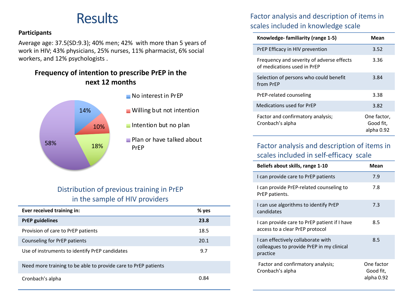## **Results**

#### **Participants**

Average age: 37.5(SD:9.3); 40% men; 42% with more than 5 years of work in HIV; 43% physicians, 25% nurses, 11% pharmacist, 6% social workers, and 12% psychologists .

#### **Frequency of intention to prescribe PrEP in the next 12 months**



#### No interest in PrEP

- **Willing but not intention**
- $\blacksquare$  Intention but no plan
- **Plan or have talked about**

#### Distribution of previous training in PrEP in the sample of HIV providers

| Ever received training in:                                     | $%$ yes |
|----------------------------------------------------------------|---------|
| <b>PrEP</b> guidelines                                         | 23.8    |
| Provision of care to PrEP patients                             | 18.5    |
| Counseling for PrEP patients                                   | 20.1    |
| Use of instruments to identify PrEP candidates                 | 9.7     |
| Need more training to be able to provide care to PrEP patients |         |
| Cronbach's alpha                                               | 0.84    |

### Factor analysis and description of items in scales included in knowledge scale

| Knowledge-familiarity (range 1-5)                                        | Mean                                   |
|--------------------------------------------------------------------------|----------------------------------------|
| PrEP Efficacy in HIV prevention                                          | 3.52                                   |
| Frequency and severity of adverse effects<br>of medications used in PrFP | 3.36                                   |
| Selection of persons who could benefit<br>from PrFP                      | 3.84                                   |
| PrEP-related counseling                                                  | 3.38                                   |
| Medications used for PrFP                                                | 3.82                                   |
| Factor and confirmatory analysis;<br>Cronbach's alpha                    | One factor,<br>Good fit,<br>alpha 0.92 |

#### Factor analysis and description of items in scales included in self-efficacy scale

| Beliefs about skills, range 1-10                                                            | Mean                                  |
|---------------------------------------------------------------------------------------------|---------------------------------------|
| I can provide care to PrEP patients                                                         | 7.9                                   |
| I can provide PrEP-related counseling to<br>PrEP patients.                                  | 7.8                                   |
| I can use algorithms to identify PrEP<br>candidates                                         | 7.3                                   |
| I can provide care to PrEP patient if I have<br>access to a clear PrEP protocol             | 8.5                                   |
| I can effectively collaborate with<br>colleagues to provide PrEP in my clinical<br>practice | 8.5                                   |
| Factor and confirmatory analysis;<br>Cronbach's alpha                                       | One factor<br>Good fit,<br>alpha 0.92 |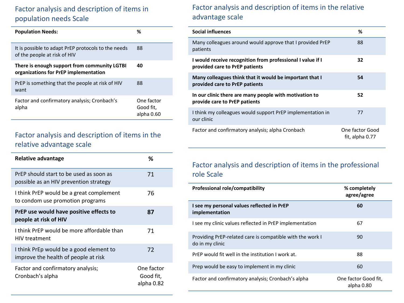### Factor analysis and description of items in population needs Scale

| <b>Population Needs:</b>                                                              | %                                     |
|---------------------------------------------------------------------------------------|---------------------------------------|
| It is possible to adapt PrEP protocols to the needs<br>of the people at risk of HIV   | 88                                    |
| There is enough support from community LGTBI<br>organizations for PrEP implementation | 40                                    |
| PrEP is something that the people at risk of HIV<br>want                              | 88                                    |
| Factor and confirmatory analysis; Cronbach's<br>alpha                                 | One factor<br>Good fit,<br>alpha 0.60 |

#### Factor analysis and description of items in the relative advantage scale

| <b>Relative advantage</b>                                                         | ℅                                     |
|-----------------------------------------------------------------------------------|---------------------------------------|
| PrEP should start to be used as soon as<br>possible as an HIV prevention strategy | 71                                    |
| I think PrEP would be a great complement<br>to condom use promotion programs      | 76                                    |
| PrEP use would have positive effects to<br>people at risk of HIV                  | 87                                    |
| I think PrEP would be more affordable than<br><b>HIV treatment</b>                | 71                                    |
| I think PrEp would be a good element to<br>improve the health of people at risk   | 72                                    |
| Factor and confirmatory analysis;<br>Cronbach's alpha                             | One factor<br>Good fit,<br>alpha 0.82 |

#### Factor analysis and description of items in the relative advantage scale

| <b>Social influences</b>                                                                     | %                                  |
|----------------------------------------------------------------------------------------------|------------------------------------|
| Many colleagues around would approve that I provided PrEP<br>patients                        | 88                                 |
| I would receive recognition from professional I value if I<br>provided care to PrEP patients | 32                                 |
| Many colleagues think that it would be important that I<br>provided care to PrEP patients    | 54                                 |
| In our clinic there are many people with motivation to<br>provide care to PrEP patients      | 52                                 |
| I think my colleagues would support PrEP implementation in<br>our clinic                     | 77                                 |
| Factor and confirmatory analysis; alpha Cronbach                                             | One factor Good<br>fit, alpha 0.77 |

#### Factor analysis and description of items in the professional role Scale

| Professional role/compatibility                                              | % completely<br>agree/agree        |
|------------------------------------------------------------------------------|------------------------------------|
| I see my personal values reflected in PrEP<br>implementation                 | 60                                 |
| I see my clinic values reflected in PrEP implementation                      | 67                                 |
| Providing PrEP-related care is compatible with the work I<br>do in my clinic | 90                                 |
| PrEP would fit well in the institution I work at.                            | 88                                 |
| Prep would be easy to implement in my clinic                                 | 60                                 |
| Factor and confirmatory analysis; Cronbach's alpha                           | One factor Good fit.<br>alpha 0.80 |